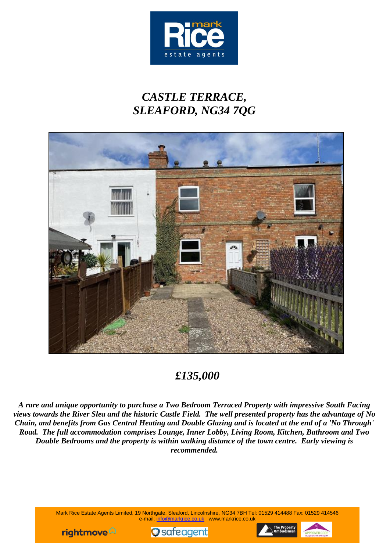

# *CASTLE TERRACE, SLEAFORD, NG34 7QG*



## *£135,000*

*A rare and unique opportunity to purchase a Two Bedroom Terraced Property with impressive South Facing views towards the River Slea and the historic Castle Field. The well presented property has the advantage of No Chain, and benefits from Gas Central Heating and Double Glazing and is located at the end of a 'No Through' Road. The full accommodation comprises Lounge, Inner Lobby, Living Room, Kitchen, Bathroom and Two Double Bedrooms and the property is within walking distance of the town centre. Early viewing is recommended.*

> Mark Rice Estate Agents Limited, 19 Northgate, Sleaford, Lincolnshire, NG34 7BH Tel: 01529 414488 Fax: 01529 414546 e-mail: info@markrice.co.uk www.markrice.co.uk





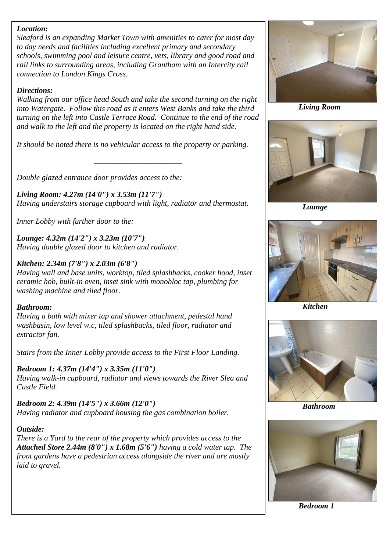#### *Location:*

*Sleaford is an expanding Market Town with amenities to cater for most day to day needs and facilities including excellent primary and secondary schools, swimming pool and leisure centre, vets, library and good road and rail links to surrounding areas, including Grantham with an Intercity rail connection to London Kings Cross.* 

#### *Directions:*

*Walking from our office head South and take the second turning on the right into Watergate. Follow this road as it enters West Banks and take the third turning on the left into Castle Terrace Road. Continue to the end of the road and walk to the left and the property is located on the right hand side.* 

*It should be noted there is no vehicular access to the property or parking.*

*\_\_\_\_\_\_\_\_\_\_\_\_\_\_\_\_\_\_\_\_\_\_\_\_\_\_\_*

*Double glazed entrance door provides access to the:*

*Living Room: 4.27m (14'0") x 3.53m (11'7") Having understairs storage cupboard with light, radiator and thermostat.*

*Inner Lobby with further door to the:*

*Lounge: 4.32m (14'2") x 3.23m (10'7") Having double glazed door to kitchen and radiator.*

#### *Kitchen: 2.34m (7'8") x 2.03m (6'8")*

*Having wall and base units, worktop, tiled splashbacks, cooker hood, inset ceramic hob, built-in oven, inset sink with monobloc tap, plumbing for washing machine and tiled floor.*

#### *Bathroom:*

*Having a bath with mixer tap and shower attachment, pedestal hand washbasin, low level w.c, tiled splashbacks, tiled floor, radiator and extractor fan.*

*Stairs from the Inner Lobby provide access to the First Floor Landing.*

*Bedroom 1: 4.37m (14'4") x 3.35m (11'0") Having walk-in cupboard, radiator and views towards the River Slea and Castle Field.*

*Bedroom 2: 4.39m (14'5") x 3.66m (12'0") Having radiator and cupboard housing the gas combination boiler.*

#### *Outside:*

*There is a Yard to the rear of the property which provides access to the Attached Store 2.44m (8'0") x 1.68m (5'6") having a cold water tap. The front gardens have a pedestrian access alongside the river and are mostly laid to gravel.*



 *Living Room*



 *Lounge*



 *Kitchen*



 *Bathroom*



 *Bedroom 1*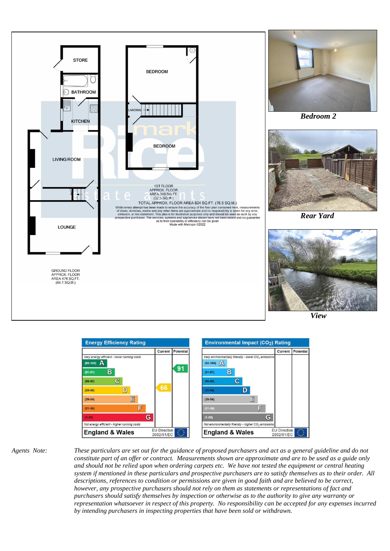





*Agents Note: These particulars are set out for the guidance of proposed purchasers and act as a general guideline and do not constitute part of an offer or contract. Measurements shown are approximate and are to be used as a guide only and should not be relied upon when ordering carpets etc. We have not tested the equipment or central heating system if mentioned in these particulars and prospective purchasers are to satisfy themselves as to their order. All descriptions, references to condition or permissions are given in good faith and are believed to be correct, however, any prospective purchasers should not rely on them as statements or representations of fact and purchasers should satisfy themselves by inspection or otherwise as to the authority to give any warranty or representation whatsoever in respect of this property. No responsibility can be accepted for any expenses incurred by intending purchasers in inspecting properties that have been sold or withdrawn.*